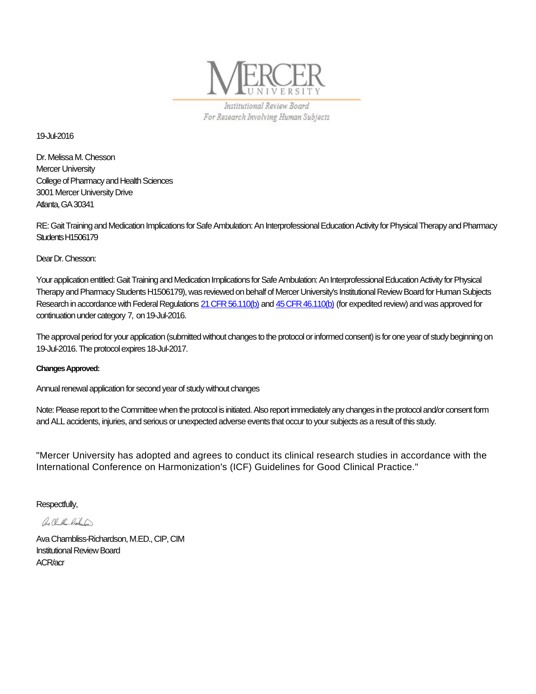

Institutional Review Board For Research Involving Human Subjects

19-Jul-2016

Dr. Melissa M. Chesson Mercer University College of Pharmacy and Health Sciences 3001 Mercer University Drive Atlanta, GA 30341

RE: Gait Training and Medication Implications for Safe Ambulation: An Interprofessional Education Activity for Physical Therapy and Pharmacy Students H1506179

Dear Dr. Chesson:

Your application entitled: Gait Training and Medication Implications for Safe Ambulation: An Interprofessional Education Activity for Physical Therapy and Pharmacy Students H1506179), was reviewed on behalf of Mercer University's Institutional Review Board for Human Subjects Research in accordance with Federal Regulations [21 CFR 56.110\(b\)](http://www.accessdata.fda.gov/scripts/cdrh/cfdocs/cfcfr/CFRSearch.cfm?fr=56.110) and [45 CFR 46.110\(b\)](http://www.hhs.gov/ohrp/humansubjects/guidance/45cfr46.htm#46.110) (for expedited review) and was approved for continuation under category 7, on 19-Jul-2016.

The approval period for your application (submitted without changes to the protocol or informed consent) is for one year of study beginning on 19-Jul-2016. The protocol expires 18-Jul-2017.

## **Changes Approved:**

Annual renewal application for second year of study without changes

Note: Please report to the Committee when the protocol is initiated. Also report immediately any changes in the protocol and/or consent form and ALL accidents, injuries, and serious or unexpected adverse events that occur to your subjects as a result of this study.

"Mercer University has adopted and agrees to conduct its clinical research studies in accordance with the International Conference on Harmonization's (ICF) Guidelines for Good Clinical Practice."

Respectfully,

ave Chamblin - Richeles

Ava Chambliss-Richardson, M.ED., CIP, CIM Institutional Review Board ACR/acr